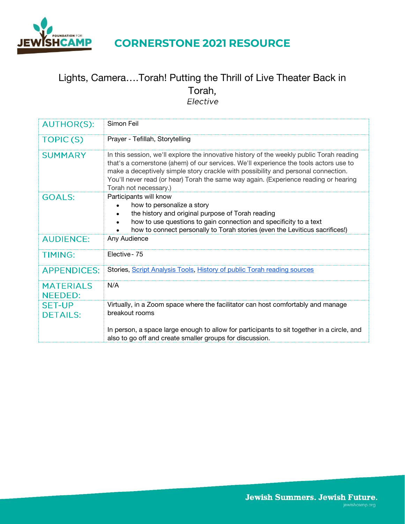

# Lights, Camera….Torah! Putting the Thrill of Live Theater Back in Torah,<br>Elective

| <b>AUTHOR(S):</b>                  | Simon Feil                                                                                                                                                                                                                                                                                                                                                                              |
|------------------------------------|-----------------------------------------------------------------------------------------------------------------------------------------------------------------------------------------------------------------------------------------------------------------------------------------------------------------------------------------------------------------------------------------|
| <b>TOPIC(S)</b>                    | Prayer - Tefillah, Storytelling                                                                                                                                                                                                                                                                                                                                                         |
| <b>SUMMARY</b>                     | In this session, we'll explore the innovative history of the weekly public Torah reading<br>that's a cornerstone (ahem) of our services. We'll experience the tools actors use to<br>make a deceptively simple story crackle with possibility and personal connection.<br>You'll never read (or hear) Torah the same way again. (Experience reading or hearing<br>Torah not necessary.) |
| <b>GOALS:</b>                      | Participants will know<br>how to personalize a story<br>the history and original purpose of Torah reading<br>how to use questions to gain connection and specificity to a text<br>how to connect personally to Torah stories (even the Leviticus sacrifices!)                                                                                                                           |
| <b>AUDIENCE:</b>                   | Any Audience                                                                                                                                                                                                                                                                                                                                                                            |
| <b>TIMING:</b>                     | Elective - 75                                                                                                                                                                                                                                                                                                                                                                           |
| <b>APPENDICES:</b>                 | Stories, Script Analysis Tools, History of public Torah reading sources                                                                                                                                                                                                                                                                                                                 |
| <b>MATERIALS</b><br><b>NEEDED:</b> | N/A                                                                                                                                                                                                                                                                                                                                                                                     |
| <b>SET-UP</b><br><b>DETAILS:</b>   | Virtually, in a Zoom space where the facilitator can host comfortably and manage<br>breakout rooms                                                                                                                                                                                                                                                                                      |
|                                    | In person, a space large enough to allow for participants to sit together in a circle, and<br>also to go off and create smaller groups for discussion.                                                                                                                                                                                                                                  |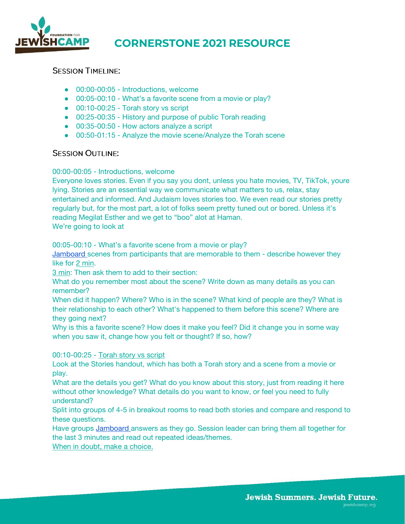

#### **SESSION TIMELINE:**

- 00:00-00:05 Introductions, welcome
- 00:05-00:10 What's a favorite scene from a movie or play?
- 00:10-00:25 Torah story vs script
- 00:25-00:35 History and purpose of public Torah reading
- 00:35-00:50 How actors analyze a script
- 00:50-01:15 Analyze the movie scene/Analyze the Torah scene

#### **SESSION OUTLINE:**

#### 00:00-00:05 - Introductions, welcome

Everyone loves stories. Even if you say you dont, unless you hate movies, TV, TikTok, youre lying. Stories are an essential way we communicate what matters to us, relax, stay entertained and informed. And Judaism loves stories too. We even read our stories pretty regularly but, for the most part, a lot of folks seem pretty tuned out or bored. Unless it's reading Megilat Esther and we get to "boo" alot at Haman.

We're going to look at

00:05-00:10 - What's a favorite scene from a movie or play?

**Jamboard** scenes from participants that are memorable to them - describe however they like for 2 min.

3 min: Then ask them to add to their section:

What do you remember most about the scene? Write down as many details as you can remember?

When did it happen? Where? Who is in the scene? What kind of people are they? What is their relationship to each other? What's happened to them before this scene? Where are they going next?

Why is this a favorite scene? How does it make you feel? Did it change you in some way when you saw it, change how you felt or thought? If so, how?

#### 00:10-00:25 - Torah story vs script

Look at the Stories handout, which has both a Torah story and a scene from a movie or play.

What are the details you get? What do you know about this story, just from reading it here without other knowledge? What details do you want to know, or feel you need to fully understand?

Split into groups of 4-5 in breakout rooms to read both stories and compare and respond to these questions.

Have groups [Jamboard a](https://jamboard.google.com/d/1-UyWEE7xsQ32wRpKm0Z49eGnu1_l-ehmc8MNZj_cBZo/edit?usp=sharing)nswers as they go. Session leader can bring them all together for the last 3 minutes and read out repeated ideas/themes.

When in doubt, make a choice.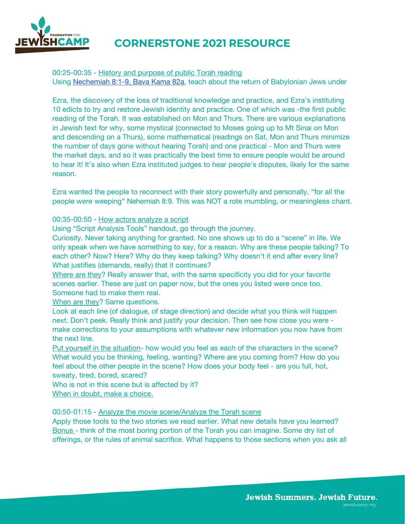

00:25-00:35 - History and purpose of public Torah reading Using [Nechemiah 8:1-9, Bava Kama 82a,](http://www.sefaria.org/sheets/317853) teach about the return of Babylonian Jews under

Ezra, the discovery of the loss of traditional knowledge and practice, and Ezra's instituting 10 edicts to try and restore Jewish identity and practice. One of which was -the first public reading of the Torah. It was established on Mon and Thurs. There are various explanations in Jewish text for why, some mystical (connected to Moses going up to Mt Sinai on Mon and descending on a Thurs), some mathematical (readings on Sat, Mon and Thurs minimize the number of days gone without hearing Torah) and one practical - Mon and Thurs were the market days, and so it was practically the best time to ensure people would be around to hear it! It's also when Ezra instituted judges to hear people's disputes, likely for the same reason.

Ezra wanted the people to reconnect with their story powerfully and personally, "for all the people were weeping" Nehemiah 8:9. This was NOT a rote mumbling, or meaningless chant.

#### 00:35-00:50 - How actors analyze a script

Using "Script Analysis Tools" handout, go through the journey.

Curiosity. Never taking anything for granted. No one shows up to do a "scene" in life. We only speak when we have something to say, for a reason. Why are these people talking? To each other? Now? Here? Why do they keep talking? Why doesn't it end after every line? What justifies (demands, really) that it continues?

Where are they? Really answer that, with the same specificity you did for your favorite scenes earlier. These are just on paper now, but the ones you listed were once too. Someone had to make them real.

When are they? Same questions.

Look at each line (of dialogue, of stage direction) and decide what you think will happen next. Don't peek. Really think and justify your decision. Then see how close you were make corrections to your assumptions with whatever new information you now have from the next line.

Put yourself in the situation- how would you feel as each of the characters in the scene? What would you be thinking, feeling, wanting? Where are you coming from? How do you feel about the other people in the scene? How does your body feel - are you full, hot, sweaty, tired, bored, scared?

Who is not in this scene but is affected by it? When in doubt, make a choice.

00:50-01:15 - Analyze the movie scene/Analyze the Torah scene

Apply those tools to the two stories we read earlier. What new details have you learned? Bonus - think of the most boring portion of the Torah you can imagine. Some dry list of offerings, or the rules of animal sacrifice. What happens to those sections when you ask all